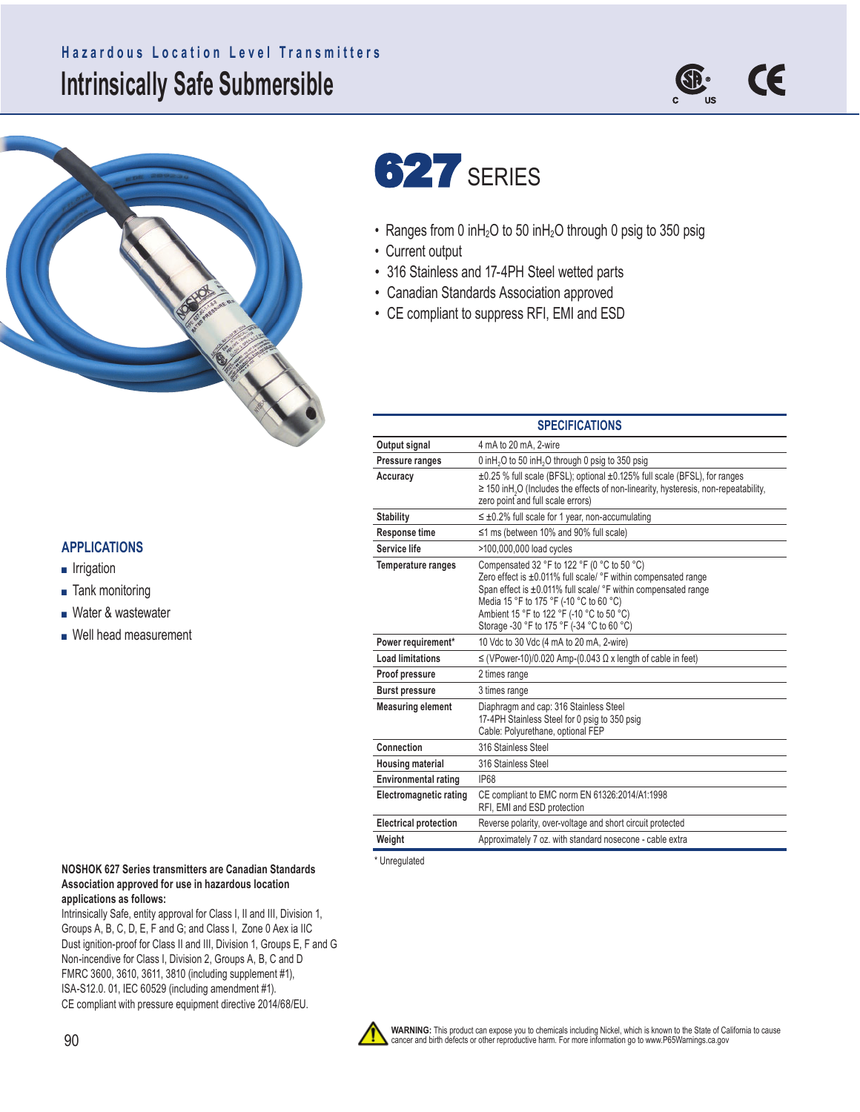## **Intrinsically Safe Submersible Hazardous Location Level Transmitters**







- Ranges from 0 inH<sub>2</sub>O to 50 inH<sub>2</sub>O through 0 psig to 350 psig
- Current output
- 316 Stainless and 17-4PH Steel wetted parts
- Canadian Standards Association approved
- CE compliant to suppress RFI, EMI and ESD

| <b>SPECIFICATIONS</b>         |                                                                                                                                                                                                                                                                                                                       |  |  |  |  |
|-------------------------------|-----------------------------------------------------------------------------------------------------------------------------------------------------------------------------------------------------------------------------------------------------------------------------------------------------------------------|--|--|--|--|
| Output signal                 | 4 mA to 20 mA, 2-wire                                                                                                                                                                                                                                                                                                 |  |  |  |  |
| Pressure ranges               | 0 in H <sub>2</sub> O to 50 in H <sub>2</sub> O through 0 psig to 350 psig                                                                                                                                                                                                                                            |  |  |  |  |
| Accuracy                      | ±0.25 % full scale (BFSL); optional ±0.125% full scale (BFSL), for ranges<br>$\geq$ 150 inH <sub>2</sub> O (Includes the effects of non-linearity, hysteresis, non-repeatability,<br>zero point and full scale errors)                                                                                                |  |  |  |  |
| <b>Stability</b>              | $\leq \pm 0.2\%$ full scale for 1 year, non-accumulating                                                                                                                                                                                                                                                              |  |  |  |  |
| <b>Response time</b>          | $\leq$ 1 ms (between 10% and 90% full scale)                                                                                                                                                                                                                                                                          |  |  |  |  |
| Service life                  | >100,000,000 load cycles                                                                                                                                                                                                                                                                                              |  |  |  |  |
| <b>Temperature ranges</b>     | Compensated 32 °F to 122 °F (0 °C to 50 °C)<br>Zero effect is ±0.011% full scale/ °F within compensated range<br>Span effect is ±0.011% full scale/ °F within compensated range<br>Media 15 °F to 175 °F (-10 °C to 60 °C)<br>Ambient 15 °F to 122 °F (-10 °C to 50 °C)<br>Storage -30 °F to 175 °F (-34 °C to 60 °C) |  |  |  |  |
| Power requirement*            | 10 Vdc to 30 Vdc (4 mA to 20 mA, 2-wire)                                                                                                                                                                                                                                                                              |  |  |  |  |
| <b>Load limitations</b>       | $\leq$ (VPower-10)/0.020 Amp-(0.043 $\Omega$ x length of cable in feet)                                                                                                                                                                                                                                               |  |  |  |  |
| Proof pressure                | 2 times range                                                                                                                                                                                                                                                                                                         |  |  |  |  |
| <b>Burst pressure</b>         | 3 times range                                                                                                                                                                                                                                                                                                         |  |  |  |  |
| <b>Measuring element</b>      | Diaphragm and cap: 316 Stainless Steel<br>17-4PH Stainless Steel for 0 psig to 350 psig<br>Cable: Polyurethane, optional FEP                                                                                                                                                                                          |  |  |  |  |
| Connection                    | 316 Stainless Steel                                                                                                                                                                                                                                                                                                   |  |  |  |  |
| <b>Housing material</b>       | 316 Stainless Steel                                                                                                                                                                                                                                                                                                   |  |  |  |  |
| <b>Environmental rating</b>   | <b>IP68</b>                                                                                                                                                                                                                                                                                                           |  |  |  |  |
| <b>Electromagnetic rating</b> | CE compliant to EMC norm EN 61326:2014/A1:1998<br>RFI, EMI and ESD protection                                                                                                                                                                                                                                         |  |  |  |  |
| <b>Electrical protection</b>  | Reverse polarity, over-voltage and short circuit protected                                                                                                                                                                                                                                                            |  |  |  |  |
| Weight                        | Approximately 7 oz. with standard nosecone - cable extra                                                                                                                                                                                                                                                              |  |  |  |  |

\* Unregulated

## **NOSHOK 627 Series transmitters are Canadian Standards Association approved for use in hazardous location applications as follows:**

Intrinsically Safe, entity approval for Class I, II and III, Division 1, Groups A, B, C, D, E, F and G; and Class I, Zone 0 Aex ia IIC Dust ignition-proof for Class II and III, Division 1, Groups E, F and G Non-incendive for Class I, Division 2, Groups A, B, C and D FMRC 3600, 3610, 3611, 3810 (including supplement #1), ISA-S12.0. 01, IEC 60529 (including amendment #1). CE compliant with pressure equipment directive 2014/68/EU.



**WARNING:** This product can expose you to chemicals including Nickel, which is known to the State of California to cause<br>cancer and birth defects or other reproductive harm. For more information go to www.P65Warnings.ca.go

## **APPLICATIONS**

- Irrigation
- Tank monitoring
- Water & wastewater
- Well head measurement